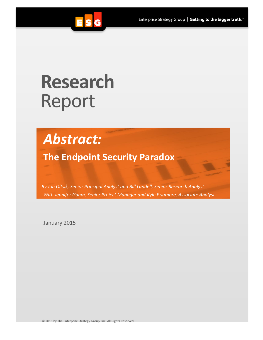

# **Research** Report

## *Abstract:*

**The Endpoint Security Paradox**

*By Jon Oltsik, Senior Principal Analyst and Bill Lundell, Senior Research Analyst With Jennifer Gahm, Senior Project Manager and Kyle Prigmore, Associate Analyst*

January 2015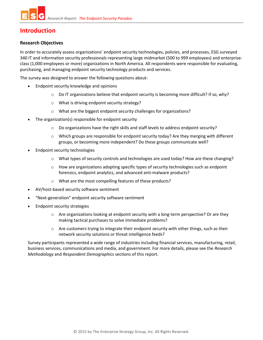## **Introduction**

#### **Research Objectives**

In order to accurately assess organizations' endpoint security technologies, policies, and processes, ESG surveyed 340 IT and information security professionals representing large midmarket (500 to 999 employees) and enterpriseclass (1,000 employees or more) organizations in North America. All respondents were responsible for evaluating, purchasing, and managing endpoint security technology products and services.

The survey was designed to answer the following questions about:

- Endpoint security knowledge and opinions
	- $\circ$  Do IT organizations believe that endpoint security is becoming more difficult? If so, why?
	- o What is driving endpoint security strategy?
	- o What are the biggest endpoint security challenges for organizations?
- The organization(s) responsible for endpoint security
	- $\circ$  Do organizations have the right skills and staff levels to address endpoint security?
	- o Which groups are responsible for endpoint security today? Are they merging with different groups, or becoming more independent? Do these groups communicate well?
- Endpoint security technologies
	- $\circ$  What types of security controls and technologies are used today? How are these changing?
	- $\circ$  How are organizations adopting specific types of security technologies such as endpoint forensics, endpoint analytics, and advanced anti-malware products?
	- o What are the most compelling features of these products?
- AV/host-based security software sentiment
- "Next-generation" endpoint security software sentiment
- Endpoint security strategies
	- $\circ$  Are organizations looking at endpoint security with a long-term perspective? Or are they making tactical purchases to solve immediate problems?
	- $\circ$  Are customers trying to integrate their endpoint security with other things, such as their network security solutions or threat intelligence feeds?

Survey participants represented a wide range of industries including financial services, manufacturing, retail, business services, communications and media, and government. For more details, please see the *Research Methodology* and *Respondent Demographics* sections of this report.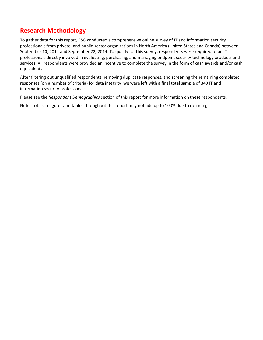## **Research Methodology**

To gather data for this report, ESG conducted a comprehensive online survey of IT and information security professionals from private- and public-sector organizations in North America (United States and Canada) between September 10, 2014 and September 22, 2014. To qualify for this survey, respondents were required to be IT professionals directly involved in evaluating, purchasing, and managing endpoint security technology products and services. All respondents were provided an incentive to complete the survey in the form of cash awards and/or cash equivalents.

After filtering out unqualified respondents, removing duplicate responses, and screening the remaining completed responses (on a number of criteria) for data integrity, we were left with a final total sample of 340 IT and information security professionals.

Please see the *Respondent Demographics* section of this report for more information on these respondents.

Note: Totals in figures and tables throughout this report may not add up to 100% due to rounding.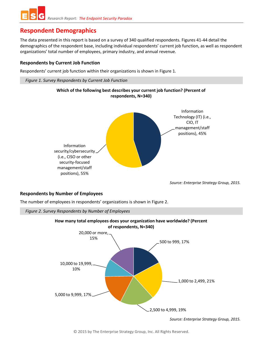## **Respondent Demographics**

The data presented in this report is based on a survey of 340 qualified respondents. Figures 41-44 detail the demographics of the respondent base, including individual respondents' current job function, as well as respondent organizations' total number of employees, primary industry, and annual revenue.

#### **Respondents by Current Job Function**

Respondents' current job function within their organizations is shown in [Figure 1.](#page-3-0)

<span id="page-3-0"></span>*Figure 1. Survey Respondents by Current Job Function*





*Source: Enterprise Strategy Group, 2015.*

#### **Respondents by Number of Employees**

The number of employees in respondents' organizations is shown in [Figure 2.](#page-3-1)

<span id="page-3-1"></span>

*Source: Enterprise Strategy Group, 2015.*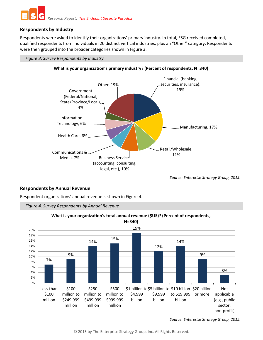

#### **Respondents by Industry**

Respondents were asked to identify their organizations' primary industry. In total, ESG received completed, qualified respondents from individuals in 20 distinct vertical industries, plus an "Other" category. Respondents were then grouped into the broader categories shown i[n Figure 3.](#page-4-0)

#### <span id="page-4-0"></span>*Figure 3. Survey Respondents by Industry*



#### **What is your organization's primary industry? (Percent of respondents, N=340)**

*Source: Enterprise Strategy Group, 2015.*

#### **Respondents by Annual Revenue**

Respondent organizations' annual revenue is shown in [Figure 4.](#page-4-1)

<span id="page-4-1"></span>



#### **What is your organization's total annual revenue (\$US)? (Percent of respondents,**

*Source: Enterprise Strategy Group, 2015.*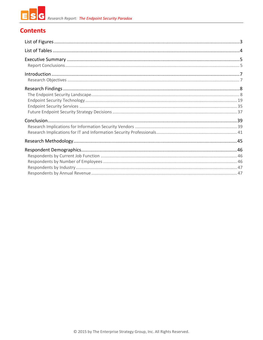## **Contents**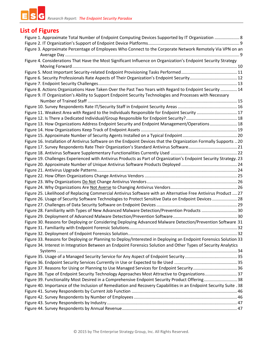#### E *Research Report: The Endpoint Security Paradox*  G

## **List of Figures**

| Figure 1. Approximate Total Number of Endpoint Computing Devices Supported by IT Organization  8                   |    |
|--------------------------------------------------------------------------------------------------------------------|----|
|                                                                                                                    |    |
| Figure 3. Approximate Percentage of Employees Who Connect to the Corporate Network Remotely Via VPN on an          |    |
|                                                                                                                    |    |
| Figure 4. Considerations That Have the Most Significant Influence on Organization's Endpoint Security Strategy     |    |
|                                                                                                                    |    |
|                                                                                                                    |    |
| Figure 6. Security Professionals Rate Aspects of Their Organization's Endpoint Security 12                         |    |
|                                                                                                                    |    |
| Figure 8. Actions Organizations Have Taken Over the Past Two Years with Regard to Endpoint Security  14            |    |
| Figure 9. IT Organization's Ability to Support Endpoint Security Technologies and Processes with Necessary         |    |
|                                                                                                                    |    |
|                                                                                                                    |    |
| Figure 11. Weakest Area with Regard to the Individuals Responsible for Endpoint Security  17                       |    |
|                                                                                                                    |    |
| Figure 13. How Organizations Address Endpoint Security and Endpoint Management/Operations 18                       |    |
|                                                                                                                    |    |
|                                                                                                                    |    |
| Figure 16. Installation of Antivirus Software on the Endpoint Devices that the Organization Formally Supports  20  |    |
|                                                                                                                    |    |
| Figure 17. Survey Respondents Rate Their Organization's Standard Antivirus Software 21                             |    |
|                                                                                                                    |    |
| Figure 19. Challenges Experienced with Antivirus Products as Part of Organization's Endpoint Security Strategy. 23 |    |
|                                                                                                                    |    |
|                                                                                                                    |    |
|                                                                                                                    |    |
|                                                                                                                    |    |
|                                                                                                                    |    |
| Figure 25. Likelihood of Replacing Commercial Antivirus Software with an Alternative Free Antivirus Product  27    |    |
| Figure 26. Usage of Security Software Technologies to Protect Sensitive Data on Endpoint Devices  28               |    |
|                                                                                                                    |    |
| Figure 28. Familiarity with Types of New Advanced Malware Detection/Prevention Products  30                        |    |
|                                                                                                                    |    |
| Figure 30. Reasons for Deploying or Considering Deploying Advanced Malware Detection/Prevention Software 31        |    |
|                                                                                                                    | 32 |
|                                                                                                                    |    |
| Figure 33. Reasons for Deploying or Planning to Deploy/Interested in Deploying an Endpoint Forensics Solution 33   |    |
| Figure 34. Interest in Integration Between an Endpoint Forensics Solution and Other Types of Security Analytics    |    |
|                                                                                                                    |    |
|                                                                                                                    |    |
|                                                                                                                    |    |
| Figure 37. Reasons for Using or Planning to Use Managed Services for Endpoint Security 36                          |    |
| Figure 38. Type of Endpoint Security Technology Approaches Most Attractive to Organizations 37                     |    |
| Figure 39. Functionality Most Desired in a Comprehensive Endpoint Security Product Offering 38                     |    |
| Figure 40. Importance of the Inclusion of Remediation and Recovery Capabilities in an Endpoint Security Suite . 38 |    |
|                                                                                                                    |    |
|                                                                                                                    |    |
|                                                                                                                    |    |
|                                                                                                                    |    |
|                                                                                                                    |    |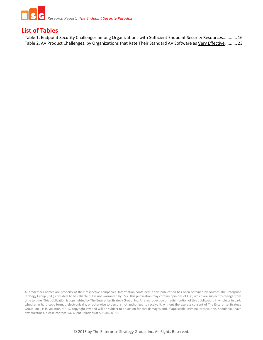

### **List of Tables**

Table 1. Endpoint Security Challenges among Organizations with **Sufficient Endpoint Security Resources...........** 16 Table 2. AV Product Challenges, by Organizations that Rate Their Standard AV Software as Very Effective .......... 23

All trademark names are property of their respective companies. Information contained in this publication has been obtained by sources The Enterprise Strategy Group (ESG) considers to be reliable but is not warranted by ESG. This publication may contain opinions of ESG, which are subject to change from time to time. This publication is copyrighted by The Enterprise Strategy Group, Inc. Any reproduction or redistribution of this publication, in whole or in part, whether in hard-copy format, electronically, or otherwise to persons not authorized to receive it, without the express consent of The Enterprise Strategy Group, Inc., is in violation of U.S. copyright law and will be subject to an action for civil damages and, if applicable, criminal prosecution. Should you have any questions, please contact ESG Client Relations at 508.482.0188.